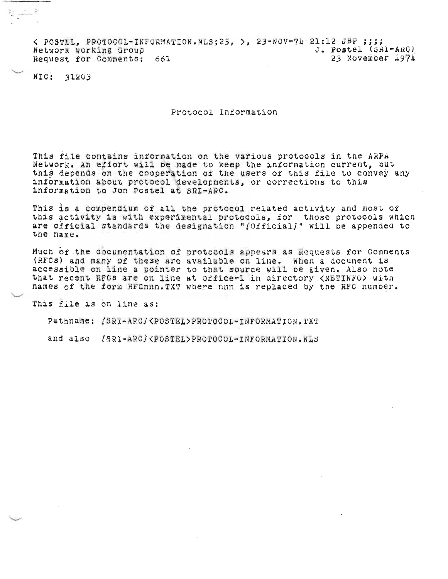< POSTEL, PROTOCOL-INFORMATION.NLS;25, >, 23-NOV-74 21:12 JBP ;;;; J. Postel (SR1-ARG) Network Working Group 23 November 1974 Request for Comments: 661

NIC: 31203

h Cal

Protocol Information

This file contains information on the various protocols in the ARPA Network. An effort will be made to keep the information current, but this depends on the cooperation of the users of this file to convey any information about protocol developments, or corrections to this information to Jon Postel at SRI-ARC.

This is a compendium of all the protocol related activity and most of this activity is with experimental protocols, for those protocols which are official standards the designation "/Official/" will be appended to the name.

Much of the documentation of protocols appears as Requests for Comments (RFCs) and many of these are available on line. When a document is accessible on line a pointer to that source will be given. Also note that recent RFCs are on line at Office-1 in directory <NETINFO> with names of the form RFCnnn. TXT where nnn is replaced by the RFC number.

This file is on line as:

Pathname: [SRI-ARC/<POSTEL>PROTOCOL-INFORMATION.TXT

and also /SRI-ARC/<POSTEL>PROTOCOL-INFORMATION.NLS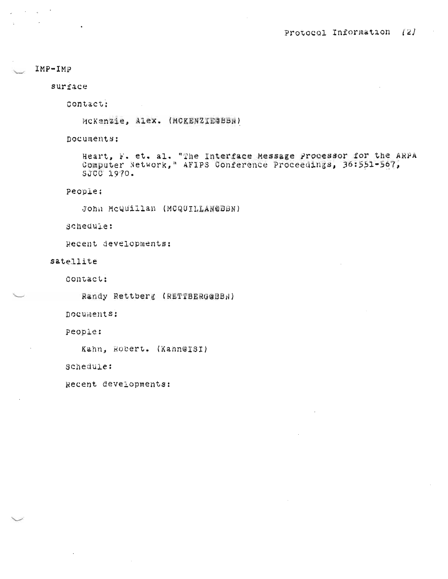# $IMP-TMP$

 $\sim 10^{-10}$ 

surface

Contact:

MCKenzie, Alex. (MCKENZIE&BBN)

Documents:

Heart, F. et. al. "The Interface Message Processor for the ARPA Computer Network," AFIPS Conference Proceedings, 36:551-567, SJCC 1970.

people:

John McQuillan (MCQUILLAN@DBN)

scheduie:

Recent developments:

satellite

contact:

Randy Rettberg (RETTBERGGBBN)

Documents:

People:

Kahn, Robert. (Kahn@ISI)

schedule:

Recent developments: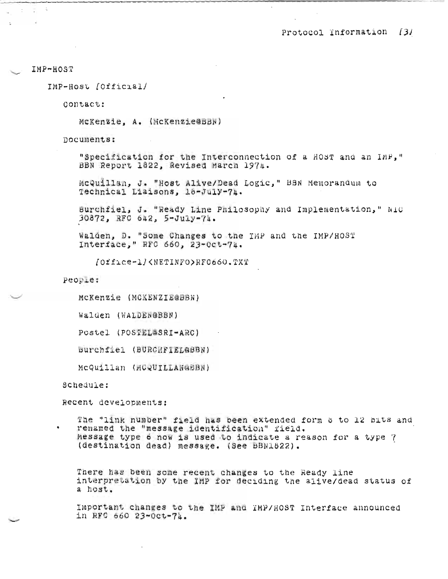## IMP-HOST

 $\mathcal{L}_{\rm s}$ 

IMP-Host [Official]

Contact:

McKenzie, A. (McKenzie@BBN)

nocuments:

"Specification for the Interconnection of a HOST and an IMF," BBN Report 1822, Revised March 1974.

McQuillan, J. "Host Alive/Dead Logic," BBN Memorandum to Technical Liaisons, 18-July-74.

Burchfiel, J. "Ready Line Philosophy and Implementation," NIC 30872, RFC 642, 5-July-74.

Walden, D. "Some Changes to the IMP and the IMP/HOST Interface," RFC 660, 23-0ct-74.

/Office=1/<NETINFO>RFC660.TXT

People:

MCKenzie (MCKENZIE@BBN)

Walden (WALDEN@BBN)

Postel (POSTEL&SRI-ARC)

Burchfiel (BURCHFIEL@BBN)

McQuillan (MCQUILLANGBBN)

Schedule:

Recent developments:

The "link number" field has been extended form 8 to 12 bits and renamed the "message identification" field. Message type 6 now is used to indicate a reason for a type 7 (destination dead) message. (See BBN1822).

There has been some recent changes to the Ready line interpretation by the IMP for deciding the alive/dead status of a host.

Important changes to the IMP and IMP/HOST Interface announced in RFC 660 23-Oct-74.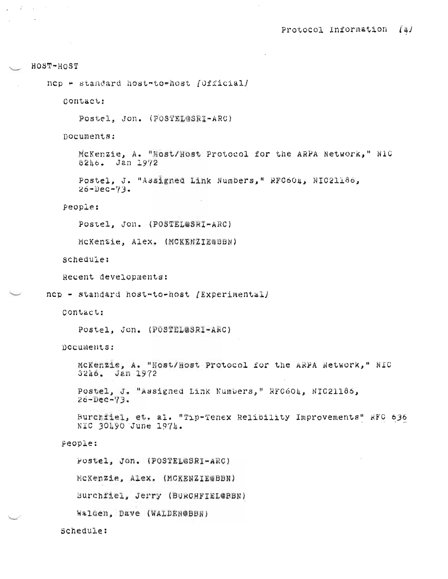```
HOST-HOST
nep - standard host-to-host [Official]
   Contact:
      Postel, Jon. (POSTELESRI-ARC)
   nocuments:
      McKenzie, A. "Host/Host Protocol for the ARPA Network," N1C
      8246. Jan 1972
      Postel, J. "Assigned Link Numbers," RFC604, NIC21186,
      26 - DeC - 73.People:
      Postel, Jon. (POSTEL@SRI-ARC)
      McKenzie, Alex. (MCKENZIEGBBN)
   schedule:
   Recent developments:
nep - standard host-to-host [Experimental]
   Contact:
      Postel, Jon. (POSTEL@SRI-ARC)
   Documents:
      MCKenzie, A. "Host/Host Protocol for the ARPA Network," NIC
      3246. Jan 1972
      Postel, J. "Assigned Link Numbers," RFC604, NIC21186,
      20 - \muec-73.
      Burchfiel, et. al. "Tip-Tenex Relibility Improvements" KFC 636
      NIC 30490 June 1974.
   People:
      Postel, Jon. (POSTEL@SRI-ARC)
      MCKenzie, Alex. (MCKENZIEGBBN)
      Burchfiel, Jerry (BURCHFIEL@BBN)
      Walden, Dave (WALDEN@BBN)
  Schedule:
```
 $\mathbf{z} = \mathbf{z}^{\text{max}}$ 

 $\sim 10^7$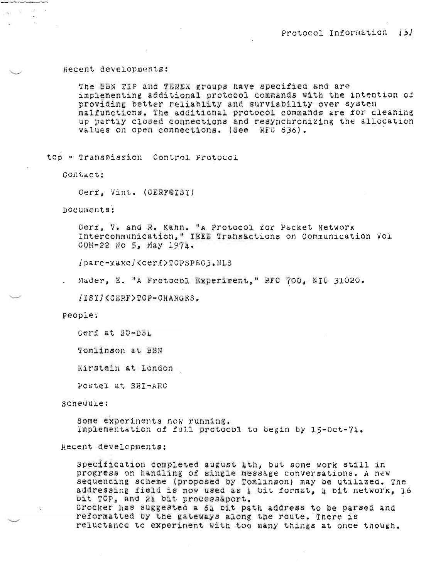#### Recent developments:

The HBN TIP and TENEX groups have specified and are implementing additional protocol commands with the intention of providing better reliablity and surviability over system malfunctions. The additional protocol commands are for cleaning up partly closed connections and resynchronizing the allocation values on open connections. (See RFC 636).

top - Transmission Control Protocol

Contact:

Cerf. Vint. (OERF@ISI)

Documents:

Cerf, V. and R. Kahn. "A Protocol for Packet Network Intercommunication." IEEE Transactions on Communication Vol COM-22 No 5, May  $1974.$ 

/parc-maxc/<cerf>TCPSPEC3.NLS

Mader, E. "A Frotocol Experiment," RFC 700, NIC 31020.

/1SI/<CERF>TOP-CHANGES.

People:

Cerf at SU-DOL

Tomlinson at **BBN** 

Kirstein at London

Postel at SRI-ARC

scheduïe:

Some experiments now running. Implementation of full protocol to begin by 15-Oct-74.

### Recent developments:

Specification completed august lth, but some work still in progress on handling of single message conversations. A new sequencing scheme (proposed by Tomlinson) may be utilized. The addressing field is now used as 4 bit format, 4 bit network, 16 pit TCP, and 21 bit processaport. Crocker has suggested a 64 oit path address to be parsed and reformatted by the gateways along the route. There is reluctance to experiment with too many things at once though.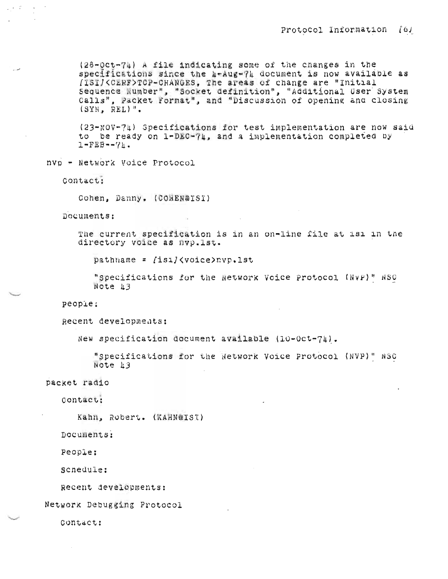(28-Oct-74) A file indicating some of the changes in the specifications since the u-Aug-74 document is now available as /ISI/<CERF>TCP-CHANGES, The areas of change are "Initial Sequence Number", "Socket definition", "Additional User System Calls", Packet Format", and "Discussion of opening and closing  $(SYN, REL)$ ".

(23-NOV-74) Specifications for test implementation are now said to be ready on 1-DEC-74, and a implementation completed by  $1-FEB--7h.$ 

nvp - Network Voice Protocol

Contact:

 $\mathbb{Z}^{\mathbb{Z}}\times\mathbb{Z}^{\mathbb{Z}}$ 

Cohen, Danny, (COHEN@ISI)

Documents:

The current specification is in an on-line file at isi in the directory voice as nvp.lst.

pathname = [isi]<voice>nvp.lst

"Specifications for the Network Voice Protocol (NVP)" NSC Note 13

people:

Recent developments:

New specification document available (10-Oct-74).

"Specifications for the Network Voice Protocol (NVP)" NSC Note 13

packet radio

Contact:

Kahn, Robert. (KAHN@IST)

Documents:

People:

scnedule:

Recent developments:

Network Debugging Protocol

Contact: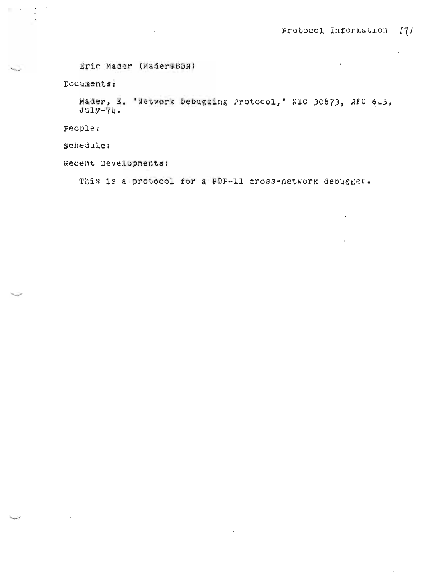$\mathcal{L}$ 

 $\mathbb{Z}^2$ 

 $\ddot{\phantom{0}}$ 

÷,

Eric Mader (Mader@BBN)

Documents:

 $\label{eq:2} \mathcal{E}_{\mathcal{A}} = \frac{1}{2} \left( \frac{1}{\sqrt{2}} \right)^{1/2} \left( \frac{1}{\sqrt{2}} \right)^{1/2}$  $\sim$ 

 $\mathcal{L}^{\text{max}}$ 

 $\sim$ 

Mader, E. "Network Debugging Protocol," NIC 30873, RFC 645,  $July-74.$ 

People:

Schedule:

Recent Developments:

This is a protocol for a PDP-11 cross-network debugger.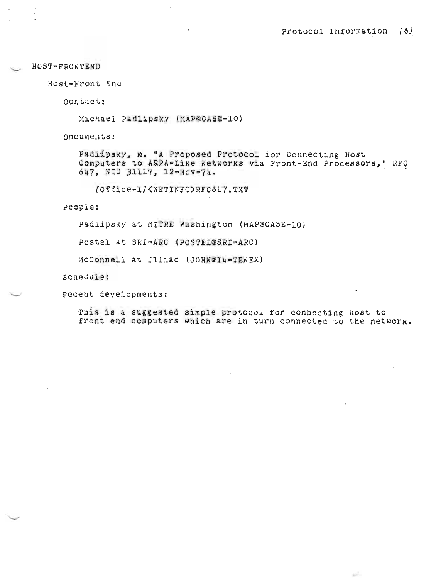HOST-FRONTEND

Host-Front End

Contact:

Michael Padlipsky (MAP@CASE-10)

Documents:

Padlipsky, M. "A Proposed Protocol for Connecting Host Computers to ARPA-Like Networks via Front-End Processors," RFC 647, NIO 31117, 12-Nov-74.

[Office-1]<NETINFO>RFC647.TXT

People:

Padlipsky at MITRE Washington (MAP@CASE-10)

Postel at SRI-ARC (POSTEL@SRI-ARC)

McConnell at Illiac (JOHN@IA-TENEX)

Schedule:

gecent developments:

This is a suggested simple protocol for connecting host to front end computers which are in turn connected to the network.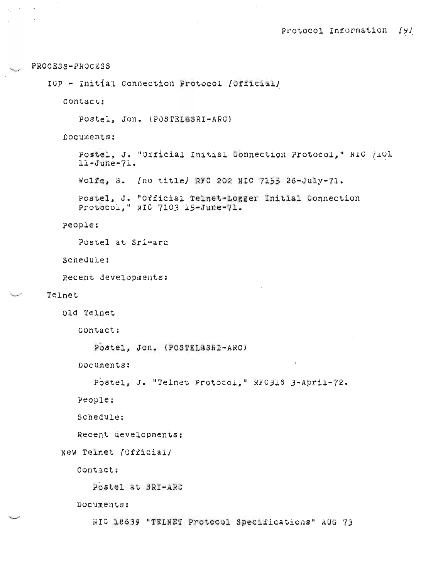PROCESS-PROCESS

 $\omega_{\rm{g}}=2\pi$ 

 $\sim 100$  km s

IOP - Initial Connection Protocol (Official)

Contact:

Postel, Jon. (POSTELESRI-ARC)

Documents:

Postel, J. "Official Initial Connection Protocol," NIC (101  $l1 - June-71.$ 

Wolfe, S. (no title) RFC 202 NIC 7155 26-July-71.

Postel, J. "Official Telnet-Logger Initial Connection Protocol, " NIC 7103 15-June-71.

people:

Postel at Sri-arc

Schedule:

Recent developments:

Telnet

old Telnet

Contact:

```
Postel, Jon. (POSTEL&SRI-ARC)
```
Documents:

```
Postel, J. "Telnet Protocol," RFC318 3-April-72.
```
People:

Schedule:

Recent developments:

```
New Teinet [Official]
```
Contact;

Postel at BRI-ARC

Documents:

NIC 18639 "TELNET Protecol Specifications" AUG 73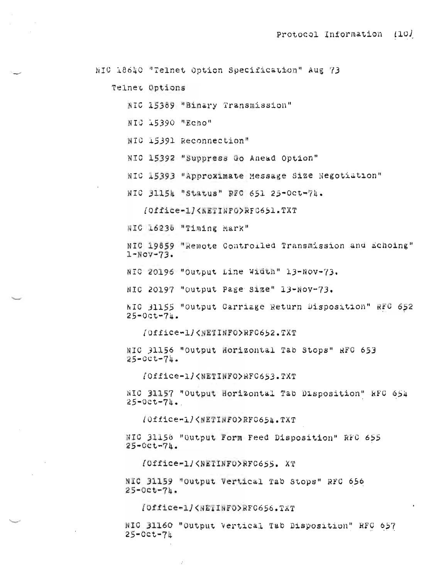NIC 18640 "Telnet Option Specification" Aug 73

Telnet Options

- NIC 15389 "Binary Transmission"
- NIC 15390 "Echo"
- NIC 15391 Reconnection"
- NIC 15392 "Suppress Go Anead Option"
- NIC 15393 "Approximate Message Size Negotiation"
- NIC 31154 "Status" RFC 651 25-Oct-74.

(Office-1/<NETINFO>RFC651.TXT

NIC 16238 "Timing Mark"

NIC 19859 "Remote Controiled Transmission and Echoing"  $1-NOV-73.$ 

NIC 20196 "Output Line Width" 13-Nov-73.

NIC 20197 "Output Page Size" 13-Nov-73.

NIO 31155 "Output Carriage Return Disposition" RFC 652  $25 - 0$ ct-74.

/Office-1/<NETINFO>RFC652.TXT

NIC 31156 "Output Horizontal Tab Stops" RFC 653  $25 - 00t - 74$ .

/Office-1/<NETINFO>RFC653.TXT

NIC 31157 "Output Horizontal Tab Disposition" RFC 654  $25 - 0ct - 74.$ 

/Office-1/<WETINFO>RFC654.TXT

WIC 31156 "Output Form Feed Disposition" RFC 655  $25 - Cct - 74.$ 

(Office-1/<WETINFO>RFC655. XT

NIC 31159 "Output Vertical Tab Stops" RFC 656  $25 - 0ct - 74.$ 

[Office-1]<#EIINFO>RFC656.TXT

NIC 31160 "Output Vertical Tab Disposition" RFC 657  $25-0ct-71$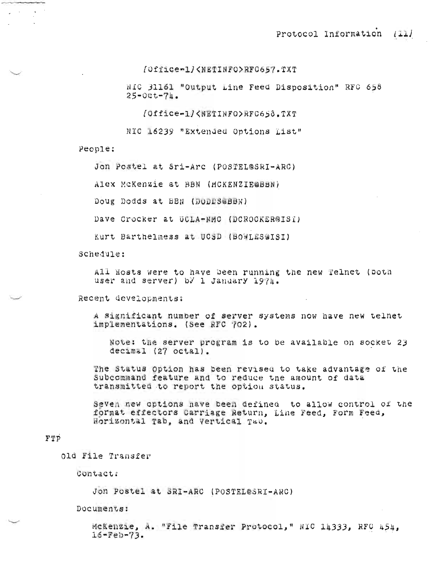```
[Office-1]<NETINFO>RFC657.TXT
```
NIC 31161 "Output Line Feed Disposition" RFC 658  $25 - 00t - 74$ .

/Office-1/<NETINFO>RFC658.TXT

NIC 16239 "Extended Options List"

People:

Jon Postel at Sri-Arc (POSTEL@SRI-ARC)

Alex McKenzie at BBN (MCKENZIE@BBN)

Doug Dodds at BBN (DODDS&BBN)

Dave Crocker at UCLA-NMC (DCROCKER@ISI)

Kurt Barthelmess at UCSD (BOWLES@ISI)

Schedule:

All Hosts were to have been running the new Telnet (both user and server) by 1 January 1971.

Recent developments:

A significant number of server systems now have new telnet implementations. (See RFC 702).

Note: the server program is to be available on socket 23  $decimal(27 octa1).$ 

The Status Option has been revised to take advantage of the Subcommand feature and to reduce the amount of data transmitted to report the option status.

Seven new options nave been defined to allow control of the format effectors Carriage Return, Line Feed, Form Feed, Horizontal Tab, and Vertical Tab.

#### FTP

old File Transfer

Contact:

Jon Postel at SRI-ARC (POSTEL@SRI-ARC)

Documents:

McKenzie, A. "File Transfer Protocol," NIC 14333, RFC 454,  $16 - Feb - 73.$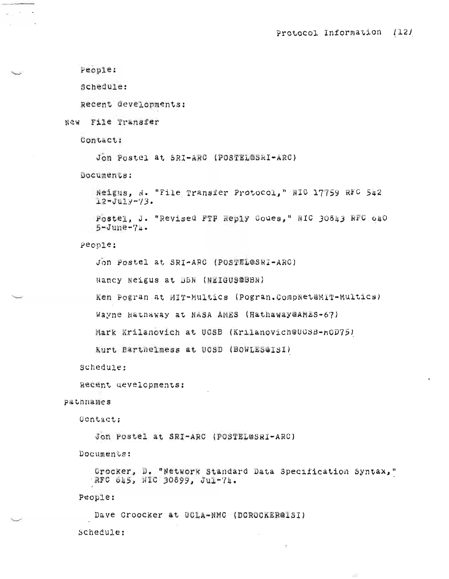```
People:
```
Schedule:

Recent developments:

New File Transfer

Contact:

Jon Postel at SRI-ARC (POSTEL@SRI-ARC)

Documents:

Neigus, N. "File Transfer Protocol," NIO 17759 RFC 542  $12 - Ju1y - 73.$ 

Postel, J. "Revised FTP Reply Codes," NIC 30843 RFC 640  $5 - June - 71.$ 

People:

Jon Postel at SRI-ARC (POSTEL@SRI-ARC)

Nancy Neigus at DBN (NEIGUS@BBN)

Ken Pogran at MIT-Multics (Pogran.CompNet@MIT-Multics)

Wayne Hatnaway at NASA AMES (Hathaway@AMES-67)

Mark Krilanovich at UCSB (Krilanovich@UCSB-MOD75)

Kurt Barthelmess at UCSD (BOWLES&ISI)

schedule:

Recent developments:

## pathmames

**Contact:** 

Jon Postel at SRI-ARC (POSTEL@SRI-ARC)

Documents:

Grocker, D. "Network Standard Data Specification Syntax," RFC 645, NIC 30899, Jul-74.

People:

Dave Croocker at UCLA-NMC (DCROCKER@1SI)

Schedule: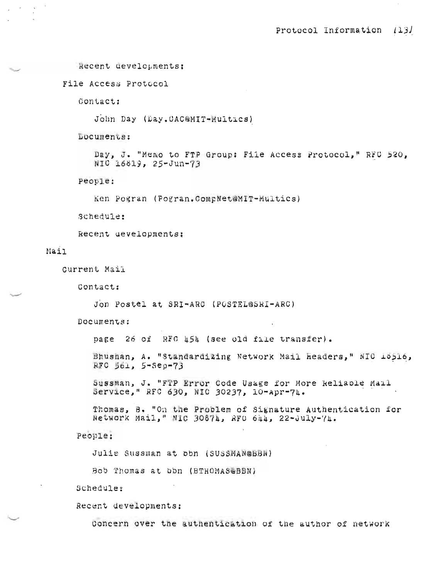```
Recent developments:
```
File Access Protocol

Contact:

John Day (Day, CAC@MIT-Multics)

Locuments:

Day, J. "Memo to FTP Group: File Access Protocol," RFC 520, NIC 16819, 25-Jun-73

People:

Ken Pogran (Pogran.CompNet@MIT-Multics)

Schedule:

Recent developments:

#### Mail

Current Mail

Contact:

Jon Postel at SRI-ARC (POSTEL@SRI-ARC)

Documents:

page 26 of RFC 454 (see old file transfer).

Bhushan, A. "Standardizing Network Mail Headers," NIO 15516, RFC 561, 5-Sep-73

Sussman, J. "FTP Error Code Usage for More Reliable Mail Service," RFC 630, NIC 30237, 10-Apr-74.

Thomas, B. "On the Problem of Signature Authentication for Network Mail," NIC 30874, RFO 644, 22-July-74.

People:

Julie Sussman at obn (SUSSMAN@BBN)

Bob Thomas at bbn (BTHOMAS@BBN)

Schedule:

Recent developments:

Concern over the authentication of the author of network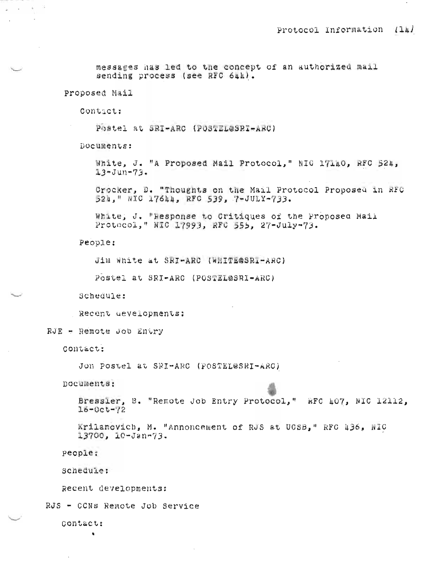messages has led to the concept of an authorized mail sending process (see RFC 644).

Proposed Mail

 $\sim$   $\sim$   $\omega$ 

Contact:

Postel at SRI-ARC (POSTEL@SRI-ARC)

Documents:

White, J. "A Proposed Mail Protocol," NIG 17140, RFC 524,  $13 - Jun - 73.$ 

Crocker, D. "Thoughts on the Mail Protocol Proposed in RFC 524," NIC 17644, RFC 539, 7-JULY-733.

White, J. "Response to Critiques of the Proposed Mail Protocol, WIC 17993, RFC 555, 27-July-73.

People:

Jim White at SRI-ARC (WHITE@SRI-ARC)

Postel at SRI-ARC (POSTEL@SRI-ARC)

Schedule:

Recent developments:

RJE - Remote Job Entry

**Contact:** 

Jon Postel at SRI-ARC (POSTEL@SRI-ARC)

nocuments:

Bressler, B. "Remote Job Entry Protocol," RFC 407, NIC 12112,  $16 - 0c t - ?2$ 

Krilancyich, M. "Annoncement of RJS at UCSB," RFC 436, NIC 13700, 10-Jan-73.

people:

schedule:

Recent developments:

RJS - CCNs Remote Job Service

**Contact:** 

 $\mathbf{x}$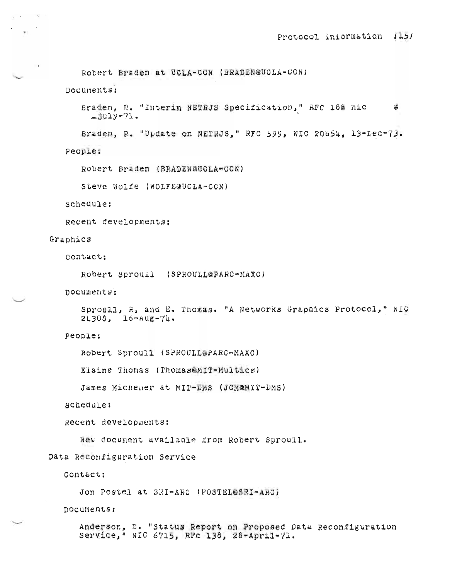Robert Braden at UCLA-CCN (BRADEN@UCLA-CCN) Documents: Braden, R. "Interim NETRJS Specification," RFC 18@ nic œ  $-$ july-71. Braden, R. "Update on NETRJS," RFC 599, NIC 20054, 13-Dec-73. people: Robert Braden (BRADEN@UCLA-CCN) Steve Wolfe (WOLFE@UCLA-CON) schedule: Recent developments: Graphics Contact: Robert Sproull (SPROULL@FARC-MAXC) Documents: Sproull, R, and E. Thomas. "A Networks Graphics Protocol," NIC  $24303$ ,  $16 - \text{Aug} - 74$ , people: Robert Sproull (SPROULL@PARC-MAXC) Elaine Thomas (Thomas@MIT-Multics) James Michener at MIT-DMS (JCM@MIT-DMS) schedule: Recent developments: New document available from Robert Sproull. Data Reconfiguration Service Contact; Jon Postel at SRI-ARC (POSTEL@SRI-ARC) nocuments:

インティー ストー

Anderson, E. "Status Report on Proposed Data Reconfiguration Service," NIC 6715, RFc 138, 28-April-71.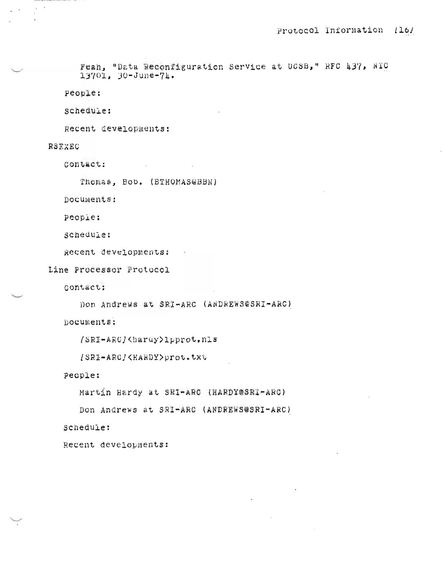Feah, "Data Reconfiguration Service at UCSB," RFC 437, NTC 13701, 30-June-74.

People:

schedule:

Recent developments:

# RSEXEC

Contact:

Thomas, Bob. (BTHOMAS@BBN)

 $\mathcal{L}^{\text{max}}$  and  $\mathcal{L}^{\text{max}}$ 

Documents:

people:

schedule:

Recent developments:

Line Processor Protocol

contact:

Don Andrews at SRI-ARC (ANDREWS@SRI-ARC)

Documents:

```
/SRI-ARC/<hardy>1pprot,n1s
```

```
[SRI-ARO]<HARDY>prot.txt
```
People:

Martin Hardy at SRI-ARC (HARDY@SRI-ARC)

Don Andrews at SRI-ARC (ANDREWS@SRI-ARC)

schedule:

Recent developments: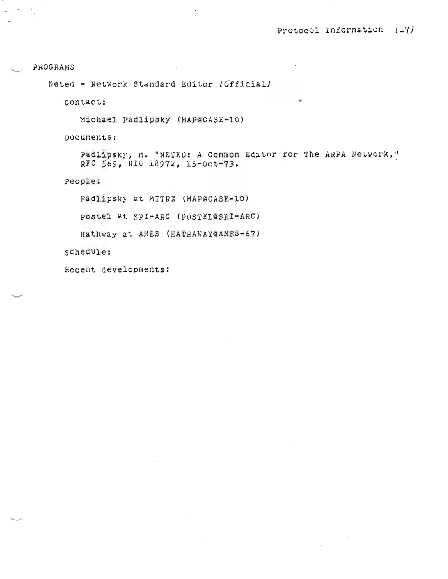## PROGRAMS

 $\sim$ 

Neted - Network Standard Editor [Official]

contact:

Michael Padlipsky (MAP@CASE-10)

Documents:

Padlipsky, M. "NETED: A Common Editor for The ARPA Network," RFC 569, NIC 18972, 15-0ct-73.

People:

Padlipsky at MITRE (MAP@CASE-10)

Postel at SRI-ARC (POSTEL@SRI-ARC)

Hathway at AMES (HATHAWAY@AMES-67)

schedule:

Recent developments: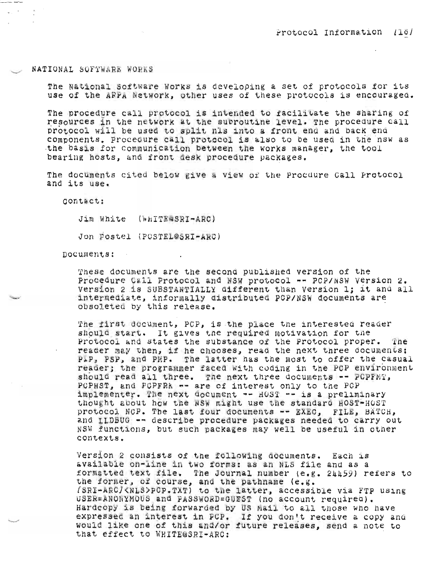### NATIONAL SOFTWARE WORKS

The National Software Works is developing a set of protocols for its use of the ARPA Network, other uses of these protocols is encouraged.

The procedure call protocol is intended to racilicate the sharing of resources in the network at the subroutine level. The procedure call protocol will be used to split his into a front end and back end components. Procedure call protocol is also to be used in the nsw as the basis for communication between the works manager, the tool bearing hosts, and front desk procedure packages.

The documents cited below give a view of the Procdure Call Protocol and its use.

Contact:

Jim White (WHITE@SRI-ARC)

Jon Postel (POSTEL@SRI-ARC)

nocuments:

These documents are the second published version of the Procedure Call Protocol and NSW protocol -- PCP/NSW Version 2. Version 2 is SUBSTANTIALLY different than Version 1: it and all intermediate, informally distributed PCP/NSW documents are obsoleted by this release.

The first document, PCP, is the place the interested reader should start. It gives the required motivation for the Protocol and states the substance of the Protocol proper. The reader may then, if he chooses, read the next three documents: PIP, PSP, and PEP. The latter has the most to offer the casual reader; the programmer faced with coding in the PCP environment should read all three. The next three documents -- PCPFMT, POPHST, and POPFRA -- are of interest only to the POP implementer. The next document -- HOST -- is a preliminary thought about how the NSW might use the standard HOST-HOST protocol NCP. The last four documents -- EXEC. FILE, BATCH, and ILDBUG -- describe procedure packages needed to carry out NSW functions, but such packages may well be useful in other contexts.

Version 2 consists of the following documents. Each is available on-line in two forms: as an NLS file and as a formatted text file. The Journal number (e.g. 24459) refers to the former, of course, and the pathname (e.g. (SRI-ARC/<NLS>PCP.TXT) to the latter, accessible via FTP using USER=ANONYMOUS and PASSWORD=GUEST (no account required). Hardcopy is being forwarded by US Mail to all those who have expressed an interest in PCP. If you don't receive a copy and would like one of this and/or future releases, send a note to that effect to WHITE@SRI-ARC: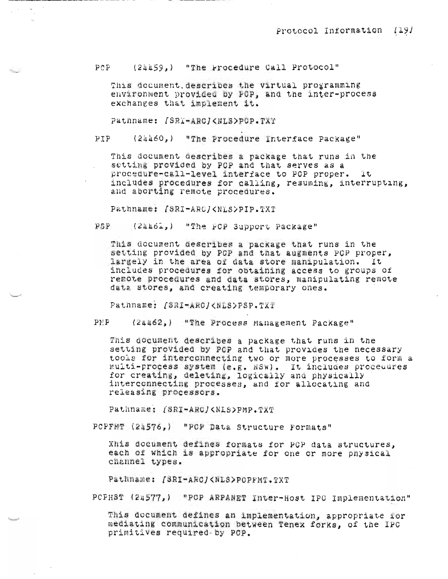(24459,) "The Procedure Call Protocol"  $PCP$ 

This document describes the virtual programming environment provided by FCP, and the inter-process exchanges that implement it.

Pathname: /SRT-ARC/<NLS>PCP.TXT

.

(24460.) "The Procedure Interface Package"  $p \uparrow p$ 

This document describes a package that runs in the setting provided by PCP and that serves as a procedure-call-level interface to PCP proper. It includes procedures for calling, resuming, interrupting, and aborting remote procedures.

Pathname: /SRI-ARC/<NLS>PIP.TXT

PSP (24461,) "The PCP Support Package"

This document describes a package that runs in the setting provided by PCP and that augments PCP proper, largely in the area of data store manipulation. It includes procedures for obtaining access to groups of remote procedures and data stores, manipulating remote data stores, and creating temporary ones.

Pathname: fSRI-ARC/<NLS>PSP.TXT

(24462,) "The Process Management Package"  $PMP$ 

This document describes a package that runs in the setting provided by PCP and that provides the necessary tools for interconnecting two or more processes to form a multi-process system (e.g. NSW). It includes procedures for creating, deleting, logically and physically interconnecting processes, and for allocating and releasing processors.

Pathname: /SRI=ARC/<NLS>PMP.TXT

PCPFMT (24576,) "PCP Data Structure Formats"

Xhis document defines formats for PCP data structures. each of which is appropriate for one or more physical channel types.

Pathname: [SRI-ARC]<NLS>POPFMT.TXT

PCPHST (24577,) "POP ARPANET Inter-Host IPC Implementation"

This document defines an implementation, appropriate for mediating communication between Tenex forks. of the IPC primitives required by PCP.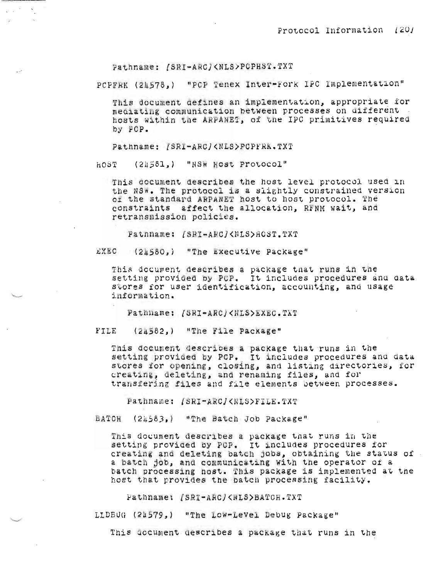Pathname: /SRI-ARC/<NLS>PCPHST.TXT

PCPFRK (21578,) "PCP Tenex Inter-Fork IPC Implementation"

This document gefines an implementation, appropriate for mediating communication between processes on different hosts within the ARFANET, of the IPC primitives required by FCP.

Pathname: [SRI-ARC](NLS)PCPFRK.TXT

(24581.) "NSW Host Protocol" HOST

This document describes the host level protocol used in the NSW. The protocol is a slightly constrained version or the standard ARPANET host to host protocol. The constraints affect the allocation, RFNM wait, and retransmission policies.

Patnname: /SRI-ARC/<NLS>80ST.TXT

EXEC (24580,) "The Executive Package"

This document describes a package that runs in the setting provided by PCP. It includes procedures and data stores for user identification, accounting, and usage information.

Pathname: [SRI-ARC]<NLS>EXEC.TXT

FILE (24582,) "The File Package"

This document describes a package that runs in the setting provided by PCP. It includes procedures and data stores for opening, closing, and listing directories, for creating, deleting, and renaming files, and for transfering files and file elements between processes.

Pathname: [SRI-ARC]<RLS>FILE.TXT

BATCH (2h583,) "The Batch Job Package"

This document describes a package that runs in the setting provided by POP. It includes procedures for creating and deleting batch jobs, obtaining the status of a batch job, and communicating with the operator of a batch processing nost. This package is implemented at the host that provides the batch processing facility.

Pathname: /SRI-ARC/<WLS>BATCH.TXT

LLDBUG (21579.) "The Low-Level Debug Package"

This uccument describes a package that runs in the